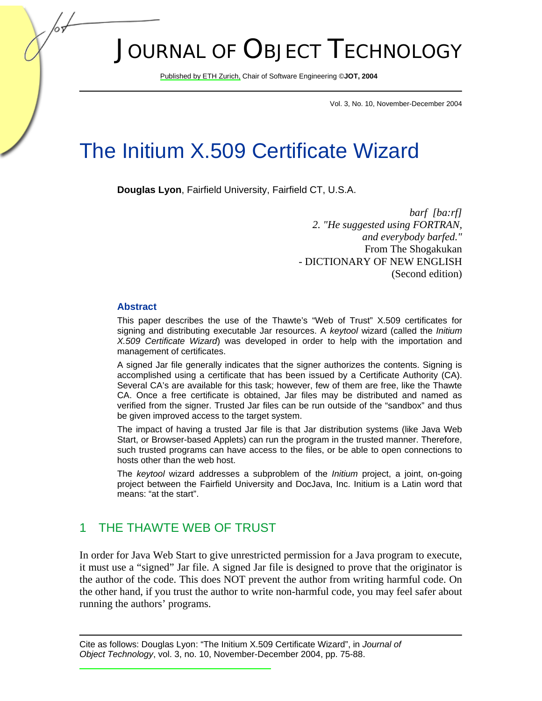# JOURNAL OF OBJECT TECHNOLOGY

Publis[hed by ETH Zurich, C](http://www.jot.fm)hair of Software Engineering ©**JOT, 2004** 

Vol. 3, No. 10, November-December 2004

## The Initium X.509 Certificate Wizard

**Douglas Lyon**, Fairfield University, Fairfield CT, U.S.A.

*barf [ba:rf] 2. "He suggested using FORTRAN, and everybody barfed."*  From The Shogakukan - DICTIONARY OF NEW ENGLISH (Second edition)

#### **Abstract**

This paper describes the use of the Thawte's "Web of Trust" X.509 certificates for signing and distributing executable Jar resources. A *keytool* wizard (called the *Initium X.509 Certificate Wizard*) was developed in order to help with the importation and management of certificates.

A signed Jar file generally indicates that the signer authorizes the contents. Signing is accomplished using a certificate that has been issued by a Certificate Authority (CA). Several CA's are available for this task; however, few of them are free, like the Thawte CA. Once a free certificate is obtained, Jar files may be distributed and named as verified from the signer. Trusted Jar files can be run outside of the "sandbox" and thus be given improved access to the target system.

The impact of having a trusted Jar file is that Jar distribution systems (like Java Web Start, or Browser-based Applets) can run the program in the trusted manner. Therefore, such trusted programs can have access to the files, or be able to open connections to hosts other than the web host.

The *keytool* wizard addresses a subproblem of the *Initium* project, a joint, on-going project between the Fairfield University and DocJava, Inc. Initium is a Latin word that means: "at the start".

## 1 THE THAWTE WEB OF TRUST

In order for Java Web Start to give unrestricted permission for a Java program to execute, it must use a "signed" Jar file. A signed Jar file is designed to prove that the originator is the author of the code. This does NOT prevent the author from writing harmful code. On the other hand, if you trust the author to write non-harmful code, you may feel safer about running the authors' programs.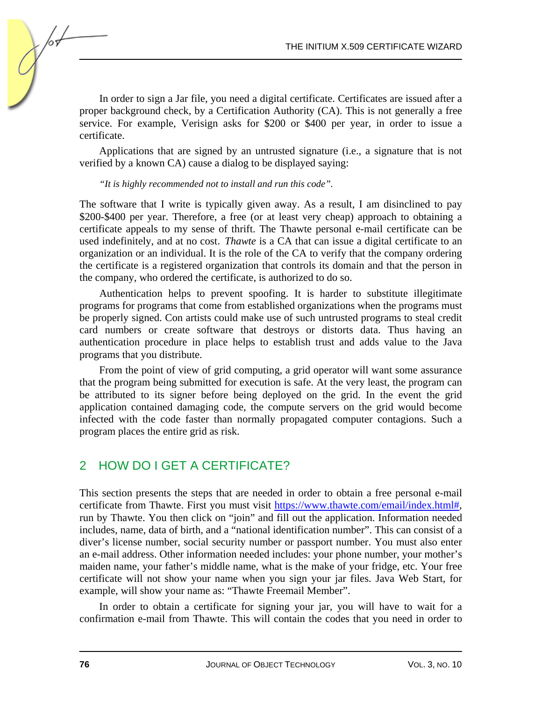In order to sign a Jar file, you need a digital certificate. Certificates are issued after a proper background check, by a Certification Authority (CA). This is not generally a free service. For example, Verisign asks for \$200 or \$400 per year, in order to issue a certificate.

Applications that are signed by an untrusted signature (i.e., a signature that is not verified by a known CA) cause a dialog to be displayed saying:

#### *"It is highly recommended not to install and run this code".*

The software that I write is typically given away. As a result, I am disinclined to pay \$200-\$400 per year. Therefore, a free (or at least very cheap) approach to obtaining a certificate appeals to my sense of thrift. The Thawte personal e-mail certificate can be used indefinitely, and at no cost. *Thawte* is a CA that can issue a digital certificate to an organization or an individual. It is the role of the CA to verify that the company ordering the certificate is a registered organization that controls its domain and that the person in the company, who ordered the certificate, is authorized to do so.

Authentication helps to prevent spoofing. It is harder to substitute illegitimate programs for programs that come from established organizations when the programs must be properly signed. Con artists could make use of such untrusted programs to steal credit card numbers or create software that destroys or distorts data. Thus having an authentication procedure in place helps to establish trust and adds value to the Java programs that you distribute.

From the point of view of grid computing, a grid operator will want some assurance that the program being submitted for execution is safe. At the very least, the program can be attributed to its signer before being deployed on the grid. In the event the grid application contained damaging code, the compute servers on the grid would become infected with the code faster than normally propagated computer contagions. Such a program places the entire grid as risk.

## 2 HOW DO I GET A CERTIFICATE?

This section presents the steps that are needed in order to obtain a free personal e-mail certificate from Thawte. First you must visit https://www.thawte.com/email/index.html#, run by Thawte. You then click on "join" and fill out the application. Information needed includes, name, data of birth, and a "national identification number". This can consist of a diver's license number, social security number or passport number. You must also enter an e-mail address. Other information needed includes: your phone number, your mother's maiden name, your father's middle name, what is the make of your fridge, etc. Your free certificate will not show your name when you sign your jar files. Java Web Start, for example, will show your name as: "Thawte Freemail Member".

In order to obtain a certificate for signing your jar, you will have to wait for a confirmation e-mail from Thawte. This will contain the codes that you need in order to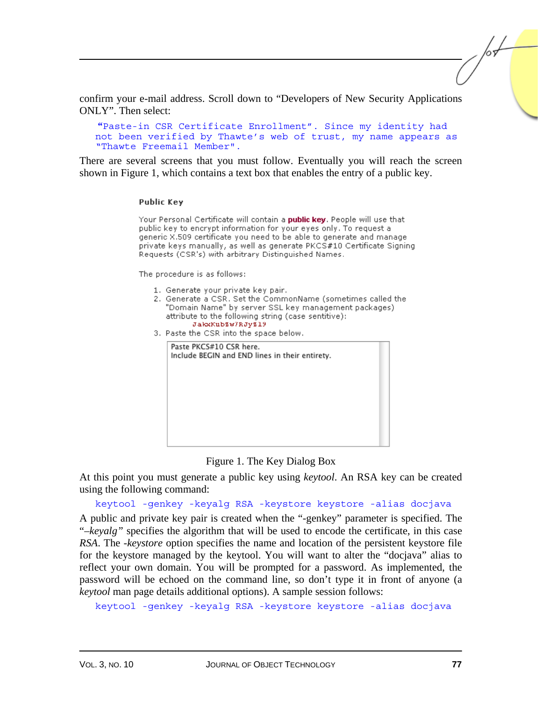confirm your e-mail address. Scroll down to "Developers of New Security Applications ONLY". Then select:

**"**Paste-in CSR Certificate Enrollment". Since my identity had not been verified by Thawte's web of trust, my name appears as "Thawte Freemail Member".

There are several screens that you must follow. Eventually you will reach the screen shown in Figure 1, which contains a text box that enables the entry of a public key.

#### **Public Kev**

Your Personal Certificate will contain a public key. People will use that public key to encrypt information for your eyes only. To request a generic X.509 certificate you need to be able to generate and manage private keys manually, as well as generate PKCS#10 Certificate Signing Requests (CSR's) with arbitrary Distinguished Names.

The procedure is as follows:

- 1. Generate your private key pair.
- 2. Generate a CSR, Set the CommonName (sometimes called the "Domain Name" by server SSL key management packages). attribute to the following string (case sentitive): JakKubSw7RJyS19
- 3. Paste the CSR into the space below.

| Paste PKCS#10 CSR here.<br>Include BEGIN and END lines in their entirety. |  |
|---------------------------------------------------------------------------|--|
|                                                                           |  |
|                                                                           |  |
|                                                                           |  |
|                                                                           |  |
|                                                                           |  |

#### Figure 1. The Key Dialog Box

At this point you must generate a public key using *keytool*. An RSA key can be created using the following command:

keytool -genkey -keyalg RSA -keystore keystore -alias docjava

A public and private key pair is created when the "-genkey" parameter is specified. The "*–keyalg"* specifies the algorithm that will be used to encode the certificate, in this case *RSA*. The *-keystore* option specifies the name and location of the persistent keystore file for the keystore managed by the keytool. You will want to alter the "docjava" alias to reflect your own domain. You will be prompted for a password. As implemented, the password will be echoed on the command line, so don't type it in front of anyone (a *keytool* man page details additional options). A sample session follows:

keytool -genkey -keyalg RSA -keystore keystore -alias docjava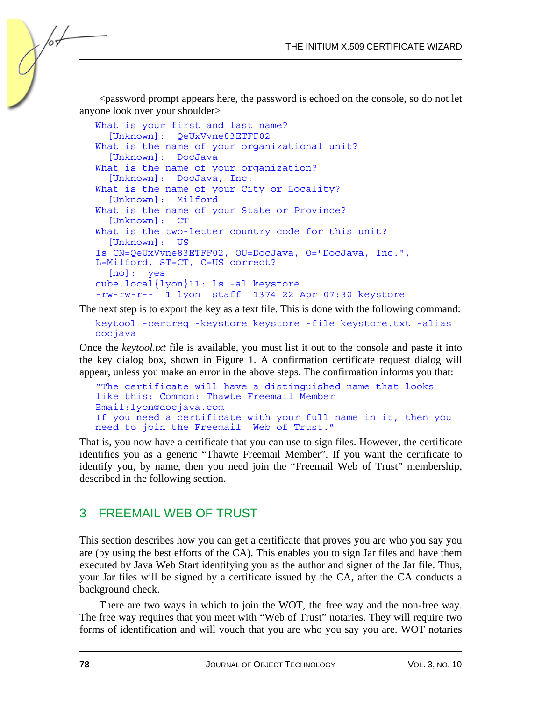<password prompt appears here, the password is echoed on the console, so do not let anyone look over your shoulder>

```
What is your first and last name? 
   [Unknown]: QeUxVvne83ETFF02 
What is the name of your organizational unit?
   [Unknown]: DocJava 
What is the name of your organization?
   [Unknown]: DocJava, Inc. 
What is the name of your City or Locality?
   [Unknown]: Milford 
What is the name of your State or Province? 
   [Unknown]: CT 
What is the two-letter country code for this unit?
   [Unknown]: US 
Is CN=QeUxVvne83ETFF02, OU=DocJava, O="DocJava, Inc.", 
L=Milford, ST=CT, C=US correct? 
   [no]: yes 
cube.local{lyon}11: ls -al keystore 
-rw-rw-r-- 1 lyon staff 1374 22 Apr 07:30 keystore
```
The next step is to export the key as a text file. This is done with the following command:

keytool -certreq -keystore keystore -file keystore.txt -alias docjava

Once the *keytool.txt* file is available, you must list it out to the console and paste it into the key dialog box, shown in Figure 1. A confirmation certificate request dialog will appear, unless you make an error in the above steps. The confirmation informs you that:

```
"The certificate will have a distinguished name that looks 
like this: Common: Thawte Freemail Member 
Email:lyon@docjava.com 
If you need a certificate with your full name in it, then you 
need to join the Freemail Web of Trust."
```
That is, you now have a certificate that you can use to sign files. However, the certificate identifies you as a generic "Thawte Freemail Member". If you want the certificate to identify you, by name, then you need join the "Freemail Web of Trust" membership, described in the following section.

## 3 FREEMAIL WEB OF TRUST

This section describes how you can get a certificate that proves you are who you say you are (by using the best efforts of the CA). This enables you to sign Jar files and have them executed by Java Web Start identifying you as the author and signer of the Jar file. Thus, your Jar files will be signed by a certificate issued by the CA, after the CA conducts a background check.

There are two ways in which to join the WOT, the free way and the non-free way. The free way requires that you meet with "Web of Trust" notaries. They will require two forms of identification and will vouch that you are who you say you are. WOT notaries

/or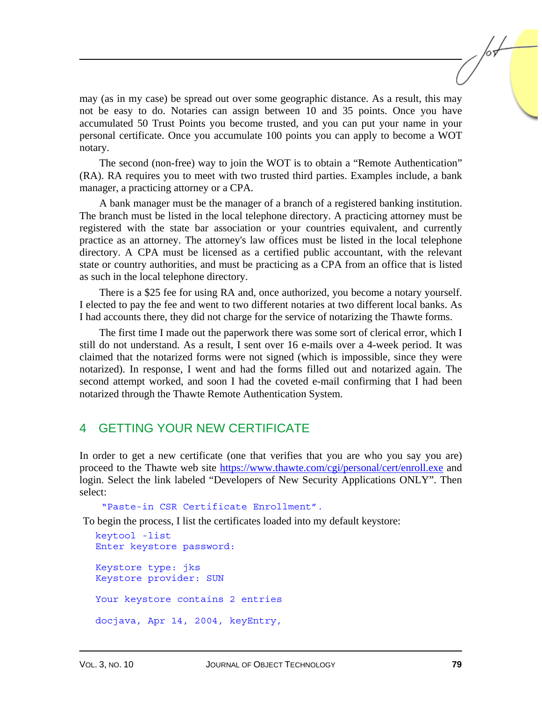may (as in my case) be spread out over some geographic distance. As a result, this may not be easy to do. Notaries can assign between 10 and 35 points. Once you have accumulated 50 Trust Points you become trusted, and you can put your name in your personal certificate. Once you accumulate 100 points you can apply to become a WOT notary.

The second (non-free) way to join the WOT is to obtain a "Remote Authentication" (RA). RA requires you to meet with two trusted third parties. Examples include, a bank manager, a practicing attorney or a CPA.

A bank manager must be the manager of a branch of a registered banking institution. The branch must be listed in the local telephone directory. A practicing attorney must be registered with the state bar association or your countries equivalent, and currently practice as an attorney. The attorney's law offices must be listed in the local telephone directory. A CPA must be licensed as a certified public accountant, with the relevant state or country authorities, and must be practicing as a CPA from an office that is listed as such in the local telephone directory.

There is a \$25 fee for using RA and, once authorized, you become a notary yourself. I elected to pay the fee and went to two different notaries at two different local banks. As I had accounts there, they did not charge for the service of notarizing the Thawte forms.

The first time I made out the paperwork there was some sort of clerical error, which I still do not understand. As a result, I sent over 16 e-mails over a 4-week period. It was claimed that the notarized forms were not signed (which is impossible, since they were notarized). In response, I went and had the forms filled out and notarized again. The second attempt worked, and soon I had the coveted e-mail confirming that I had been notarized through the Thawte Remote Authentication System.

## 4 GETTING YOUR NEW CERTIFICATE

In order to get a new certificate (one that verifies that you are who you say you are) proceed to the Thawte web sit[e https://www.thawte.com/cgi/personal/cert/enroll.exe an](https://www.thawte.com/cgi/personal/cert/enroll.exe)d login. Select the link labeled "Developers of New Security Applications ONLY". Then select:

"Paste-in CSR Certificate Enrollment".

To begin the process, I list the certificates loaded into my default keystore:

```
keytool -list 
Enter keystore password: 
Keystore type: jks 
Keystore provider: SUN 
Your keystore contains 2 entries 
docjava, Apr 14, 2004, keyEntry,
```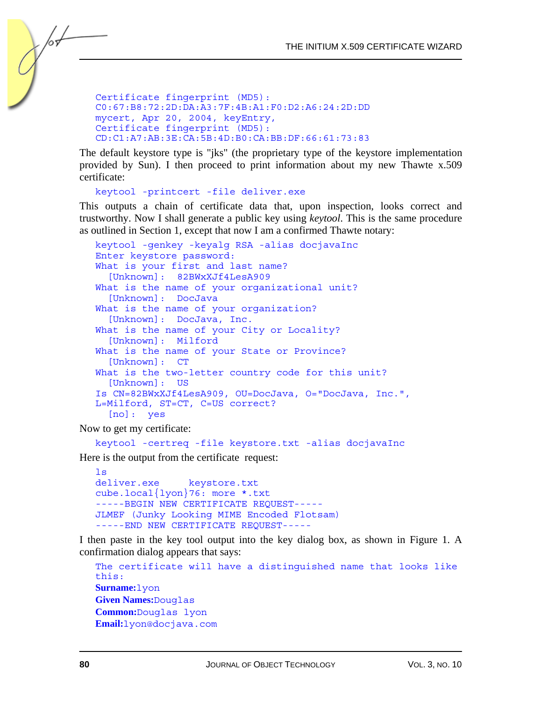```
Certificate fingerprint (MD5): 
C0:67:B8:72:2D:DA:A3:7F:4B:A1:F0:D2:A6:24:2D:DD 
mycert, Apr 20, 2004, keyEntry, 
Certificate fingerprint (MD5): 
CD:C1:A7:AB:3E:CA:5B:4D:B0:CA:BB:DF:66:61:73:83
```
The default keystore type is "jks" (the proprietary type of the keystore implementation provided by Sun). I then proceed to print information about my new Thawte x.509 certificate:

```
keytool -printcert -file deliver.exe
```
This outputs a chain of certificate data that, upon inspection, looks correct and trustworthy. Now I shall generate a public key using *keytool*. This is the same procedure as outlined in Section 1, except that now I am a confirmed Thawte notary:

```
keytool -genkey -keyalg RSA -alias docjavaInc 
Enter keystore password: 
What is your first and last name? 
   [Unknown]: 82BWxXJf4LesA909 
What is the name of your organizational unit?
   [Unknown]: DocJava 
What is the name of your organization?
   [Unknown]: DocJava, Inc. 
What is the name of your City or Locality?
   [Unknown]: Milford 
What is the name of your State or Province? 
   [Unknown]: CT 
What is the two-letter country code for this unit?
   [Unknown]: US 
Is CN=82BWxXJf4LesA909, OU=DocJava, O="DocJava, Inc.", 
L=Milford, ST=CT, C=US correct? 
   [no]: yes
```
Now to get my certificate:

```
keytool -certreq -file keystore.txt -alias docjavaInc
```
Here is the output from the certificate request:

```
ls 
deliver.exe keystore.txt
cube.local{lyon}76: more *.txt 
-----BEGIN NEW CERTIFICATE REQUEST----- 
JLMEF (Junky Looking MIME Encoded Flotsam) 
-----END NEW CERTIFICATE REQUEST-----
```
I then paste in the key tool output into the key dialog box, as shown in Figure 1. A confirmation dialog appears that says:

```
The certificate will have a distinguished name that looks like 
this: 
Surname:lyon 
Given Names:Douglas 
Common:Douglas lyon 
Email:lyon@docjava.com
```
/or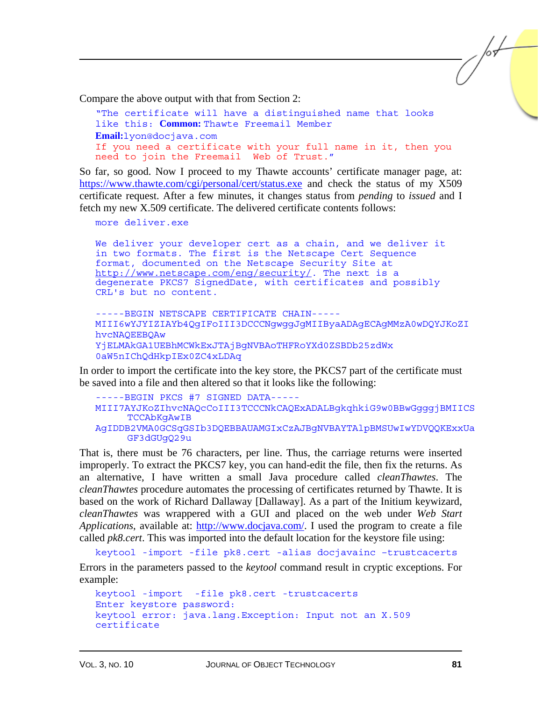Compare the above output with that from Section 2:

```
"The certificate will have a distinguished name that looks 
like this: Common: Thawte Freemail Member 
Email:lyon@docjava.com 
If you need a certificate with your full name in it, then you 
need to join the Freemail Web of Trust."
```
So far, so good. Now I proceed to my Thawte accounts' certificate manager page, at: [https://www.thawte.com/cgi/personal/cert/status.exe a](https://www.thawte.com/cgi/personal/cert/status.exe)nd check the status of my X509 certificate request. After a few minutes, it changes status from *pending* to *issued* and I fetch my new X.509 certificate. The delivered certificate contents follows:

more deliver.exe

We deliver your developer cert as a chain, and we deliver it in two formats. The first is the Netscape Cert Sequence format, documented on the Netscape Security Site at http://www.netscape.com/eng/security/. The next is a degenerate PKCS7 SignedDate, with certificates and possibly CRL's but no content.

```
-----BEGIN NETSCAPE CERTIFICATE CHAIN----- 
MIII6wYJYIZIAYb4QgIFoIII3DCCCNgwggJgMIIByaADAgECAgMMzA0wDQYJKoZI 
hvcNAQEEBQAw 
YjELMAkGA1UEBhMCWkExJTAjBgNVBAoTHFRoYXd0ZSBDb25zdWx 
0aW5nIChQdHkpIEx0ZC4xLDAq
```
In order to import the certificate into the key store, the PKCS7 part of the certificate must be saved into a file and then altered so that it looks like the following:

```
-----BEGIN PKCS #7 SIGNED DATA----- 
MIII7AYJKoZIhvcNAQcCoIII3TCCCNkCAQExADALBgkqhkiG9w0BBwGgggjBMIICS
     TCCAbKgAwIB 
AgIDDB2VMA0GCSqGSIb3DQEBBAUAMGIxCzAJBgNVBAYTAlpBMSUwIwYDVQQKExxUa
     GF3dGUgQ29u
```
That is, there must be 76 characters, per line. Thus, the carriage returns were inserted improperly. To extract the PKCS7 key, you can hand-edit the file, then fix the returns. As an alternative, I have written a small Java procedure called *cleanThawtes*. The *cleanThawtes* procedure automates the processing of certificates returned by Thawte. It is based on the work of Richard Dallaway [Dallaway]. As a part of the Initium keywizard, *cleanThawtes* was wrappered with a GUI and placed on the web under *Web Start Applications*, available at[: http://www.docjava.com/.](http://www.docjava.com/) I used the program to create a file called *pk8.cert*. This was imported into the default location for the keystore file using:

keytool -import -file pk8.cert -alias docjavainc –trustcacerts

Errors in the parameters passed to the *keytool* command result in cryptic exceptions. For example:

```
keytool -import -file pk8.cert -trustcacerts 
Enter keystore password: 
keytool error: java.lang.Exception: Input not an X.509 
certificate
```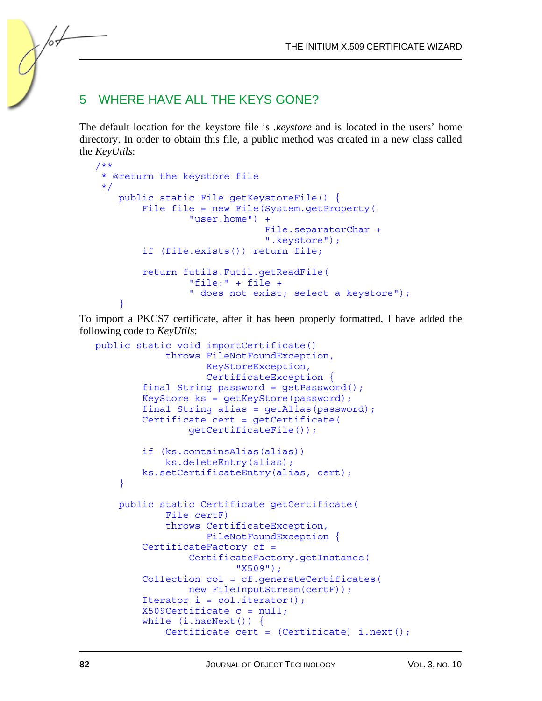## 5 WHERE HAVE ALL THE KEYS GONE?

The default location for the keystore file is *.keystore* and is located in the users' home directory. In order to obtain this file, a public method was created in a new class called the *KeyUtils*:

```
/** 
  * @return the keystore file 
  */ 
     public static File getKeystoreFile() { 
         File file = new File(System.getProperty( 
                  "user.home") + 
                                File.separatorChar + 
                                ".keystore"); 
         if (file.exists()) return file; 
         return futils.Futil.getReadFile( 
                  "file:" + file + 
                  " does not exist; select a keystore"); 
 }
```
To import a PKCS7 certificate, after it has been properly formatted, I have added the following code to *KeyUtils*:

```
public static void importCertificate() 
              throws FileNotFoundException, 
                     KeyStoreException, 
                     CertificateException { 
         final String password = getPassword(); 
         KeyStore ks = getKeyStore(password); 
        final String alias = qethlias (password);
         Certificate cert = getCertificate( 
                  getCertificateFile()); 
         if (ks.containsAlias(alias)) 
             ks.deleteEntry(alias); 
         ks.setCertificateEntry(alias, cert); 
     } 
     public static Certificate getCertificate( 
             File certF) 
             throws CertificateException, 
                     FileNotFoundException { 
         CertificateFactory cf = 
                  CertificateFactory.getInstance( 
                          "X509"); 
         Collection col = cf.generateCertificates( 
                  new FileInputStream(certF)); 
        Iterator i = col.iterator();
        X509Certificate c = null; while (i.hasNext()) { 
             Certificate cert = (Certificate) i.next();
```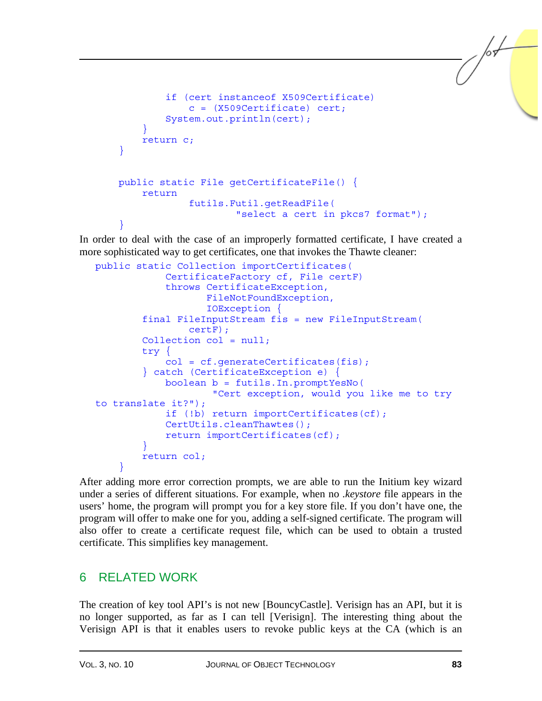```
 if (cert instanceof X509Certificate) 
                 c = (X509Certificate) cert; System.out.println(cert); 
 } 
         return c; 
     } 
    public static File getCertificateFile() { 
         return 
                  futils.Futil.getReadFile( 
                          "select a cert in pkcs7 format"); 
     }
```
In order to deal with the case of an improperly formatted certificate, I have created a more sophisticated way to get certificates, one that invokes the Thawte cleaner:

```
public static Collection importCertificates( 
             CertificateFactory cf, File certF) 
             throws CertificateException, 
                     FileNotFoundException, 
                     IOException { 
         final FileInputStream fis = new FileInputStream( 
                  certF); 
         Collection col = null; 
         try { 
            col = cf. generateCertificates(fis); } catch (CertificateException e) { 
             boolean b = futils.In.promptYesNo( 
                      "Cert exception, would you like me to try 
to translate it?"); 
             if (!b) return importCertificates(cf); 
             CertUtils.cleanThawtes(); 
            return importCertificates(cf);
 } 
         return col; 
 }
```
After adding more error correction prompts, we are able to run the Initium key wizard under a series of different situations. For example, when no *.keystore* file appears in the users' home, the program will prompt you for a key store file. If you don't have one, the program will offer to make one for you, adding a self-signed certificate. The program will also offer to create a certificate request file, which can be used to obtain a trusted certificate. This simplifies key management.

## 6 RELATED WORK

The creation of key tool API's is not new [BouncyCastle]. Verisign has an API, but it is no longer supported, as far as I can tell [Verisign]. The interesting thing about the Verisign API is that it enables users to revoke public keys at the CA (which is an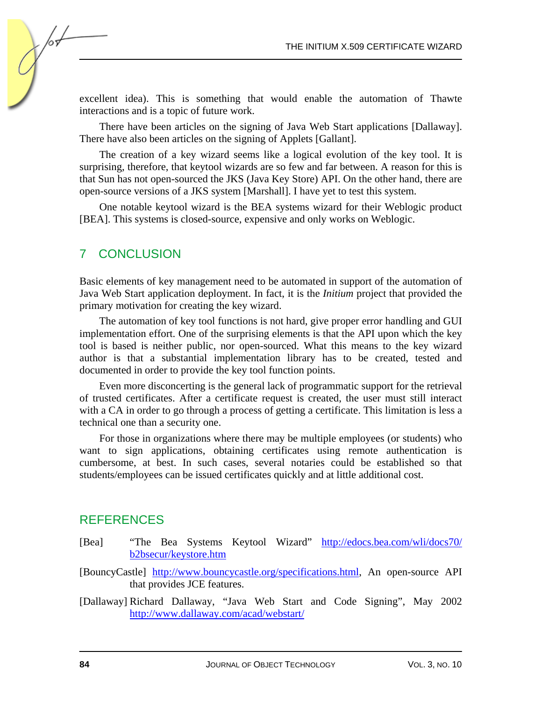excellent idea). This is something that would enable the automation of Thawte interactions and is a topic of future work.

There have been articles on the signing of Java Web Start applications [Dallaway]. There have also been articles on the signing of Applets [Gallant].

The creation of a key wizard seems like a logical evolution of the key tool. It is surprising, therefore, that keytool wizards are so few and far between. A reason for this is that Sun has not open-sourced the JKS (Java Key Store) API. On the other hand, there are open-source versions of a JKS system [Marshall]. I have yet to test this system.

One notable keytool wizard is the BEA systems wizard for their Weblogic product [BEA]. This systems is closed-source, expensive and only works on Weblogic.

## 7 CONCLUSION

∕∝

Basic elements of key management need to be automated in support of the automation of Java Web Start application deployment. In fact, it is the *Initium* project that provided the primary motivation for creating the key wizard.

The automation of key tool functions is not hard, give proper error handling and GUI implementation effort. One of the surprising elements is that the API upon which the key tool is based is neither public, nor open-sourced. What this means to the key wizard author is that a substantial implementation library has to be created, tested and documented in order to provide the key tool function points.

Even more disconcerting is the general lack of programmatic support for the retrieval of trusted certificates. After a certificate request is created, the user must still interact with a CA in order to go through a process of getting a certificate. This limitation is less a technical one than a security one.

For those in organizations where there may be multiple employees (or students) who want to sign applications, obtaining certificates using remote authentication is cumbersome, at best. In such cases, several notaries could be established so that students/employees can be issued certificates quickly and at little additional cost.

### **REFERENCES**

- [Bea] "The Bea Systems Keytool Wizard" [http://edocs.bea.com/wli/docs70/](http://edocs.bea.com/wli/docs70/b2bsecur/keystore.htm) [b2bsecur/keystore.htm](http://edocs.bea.com/wli/docs70/b2bsecur/keystore.htm)
- [BouncyCastle[\] http://www.bouncycastle.org/specifications.html,](http://www.bouncycastle.org/specifications.html) An open-source API that provides JCE features.

[Dallaway] Richard Dallaway, "Java Web Start and Code Signing", May 2002 <http://www.dallaway.com/acad/webstart/>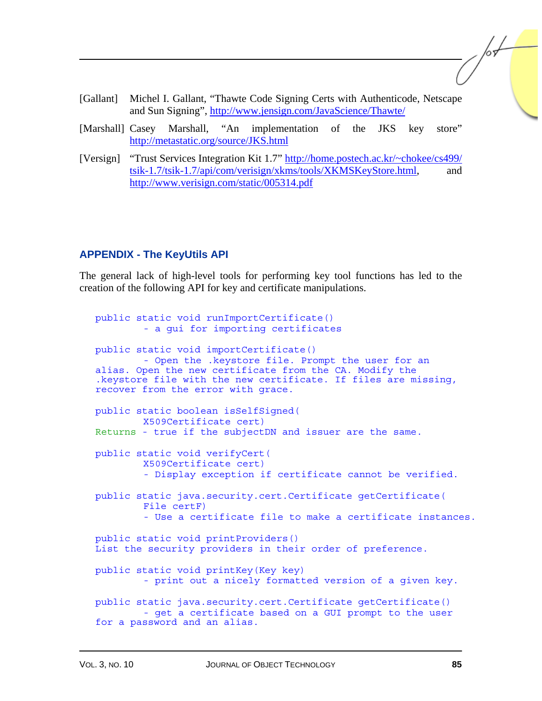- [Gallant] Michel I. Gallant, "Thawte Code Signing Certs with Authenticode, Netscape and Sun Signing[", http://www.jensign.com/JavaScience/Thawte/](http://www.jensign.com/JavaScience/Thawte/)
- [Marshall] Casey Marshall, "An implementation of the JKS key store" <http://metastatic.org/source/JKS.html>
- [Versign] "Trust Services Integration Kit 1.7[" http://home.postech.ac.kr/~chokee/cs499/](http://home.postech.ac.kr/~chokee/cs499/tsik-1.7/tsik-1.7/api/com/verisign/xkms/tools/XKMSKeyStore.html) [tsik-1.7/tsik-1.7/api/com/verisign/xkms/tools/XKMSKeyStore.html,](http://home.postech.ac.kr/~chokee/cs499/tsik-1.7/tsik-1.7/api/com/verisign/xkms/tools/XKMSKeyStore.html) and <http://www.verisign.com/static/005314.pdf>

#### **APPENDIX - The KeyUtils API**

The general lack of high-level tools for performing key tool functions has led to the creation of the following API for key and certificate manipulations.

public static void runImportCertificate() - a gui for importing certificates public static void importCertificate() - Open the .keystore file. Prompt the user for an alias. Open the new certificate from the CA. Modify the .keystore file with the new certificate. If files are missing, recover from the error with grace. public static boolean isSelfSigned( X509Certificate cert) Returns - true if the subjectDN and issuer are the same. public static void verifyCert( X509Certificate cert) - Display exception if certificate cannot be verified. public static java.security.cert.Certificate getCertificate( File certF) - Use a certificate file to make a certificate instances. public static void printProviders() List the security providers in their order of preference. public static void printKey(Key key) - print out a nicely formatted version of a given key. public static java.security.cert.Certificate getCertificate() - get a certificate based on a GUI prompt to the user for a password and an alias.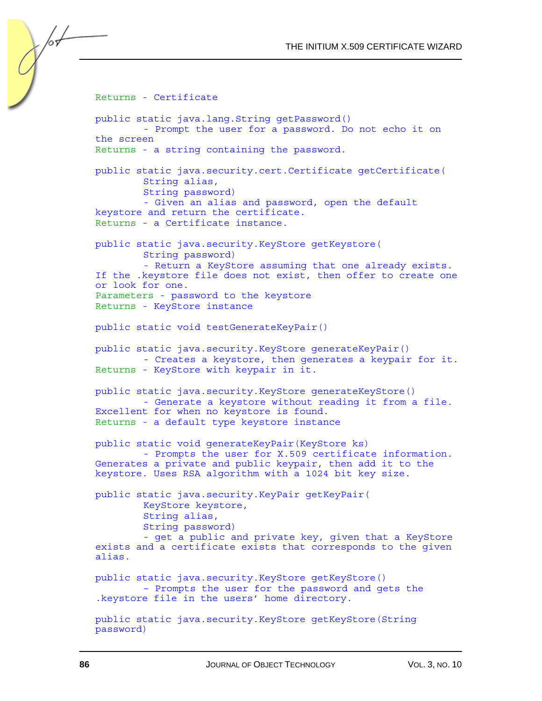Returns - Certificate public static java.lang.String getPassword() - Prompt the user for a password. Do not echo it on the screen Returns - a string containing the password. public static java.security.cert.Certificate getCertificate( String alias, String password) - Given an alias and password, open the default keystore and return the certificate. Returns - a Certificate instance. public static java.security.KeyStore getKeystore( String password) - Return a KeyStore assuming that one already exists. If the .keystore file does not exist, then offer to create one or look for one. Parameters - password to the keystore Returns - KeyStore instance public static void testGenerateKeyPair() public static java.security.KeyStore generateKeyPair() - Creates a keystore, then generates a keypair for it. Returns - KeyStore with keypair in it. public static java.security.KeyStore generateKeyStore() - Generate a keystore without reading it from a file. Excellent for when no keystore is found. Returns - a default type keystore instance public static void generateKeyPair(KeyStore ks) - Prompts the user for X.509 certificate information. Generates a private and public keypair, then add it to the keystore. Uses RSA algorithm with a 1024 bit key size. public static java.security.KeyPair getKeyPair( KeyStore keystore, String alias, String password) - get a public and private key, given that a KeyStore exists and a certificate exists that corresponds to the given alias. public static java.security.KeyStore getKeyStore() – Prompts the user for the password and gets the .keystore file in the users' home directory. public static java.security.KeyStore getKeyStore(String password)

/sf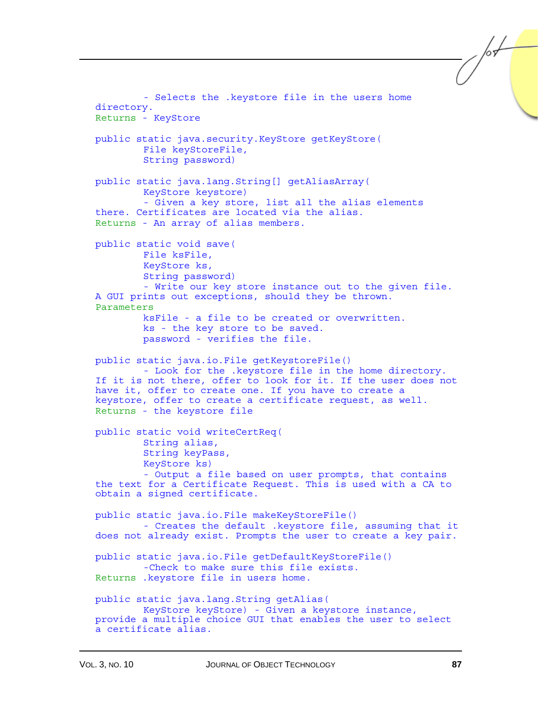```
 - Selects the .keystore file in the users home 
directory. 
Returns - KeyStore 
public static java.security.KeyStore getKeyStore( 
         File keyStoreFile, 
         String password) 
public static java.lang.String[] getAliasArray( 
         KeyStore keystore) 
         - Given a key store, list all the alias elements 
there. Certificates are located via the alias. 
Returns - An array of alias members. 
public static void save( 
         File ksFile, 
         KeyStore ks, 
         String password) 
         - Write our key store instance out to the given file. 
A GUI prints out exceptions, should they be thrown. 
Parameters 
         ksFile - a file to be created or overwritten. 
         ks - the key store to be saved. 
         password - verifies the file. 
public static java.io.File getKeystoreFile() 
         - Look for the .keystore file in the home directory. 
If it is not there, offer to look for it. If the user does not 
have it, offer to create one. If you have to create a 
keystore, offer to create a certificate request, as well. 
Returns - the keystore file 
public static void writeCertReq( 
         String alias, 
         String keyPass, 
         KeyStore ks) 
         - Output a file based on user prompts, that contains 
the text for a Certificate Request. This is used with a CA to 
obtain a signed certificate. 
public static java.io.File makeKeyStoreFile() 
          - Creates the default .keystore file, assuming that it 
does not already exist. Prompts the user to create a key pair. 
public static java.io.File getDefaultKeyStoreFile() 
         -Check to make sure this file exists. 
Returns .keystore file in users home. 
public static java.lang.String getAlias( 
         KeyStore keyStore) - Given a keystore instance, 
provide a multiple choice GUI that enables the user to select 
a certificate alias.
```